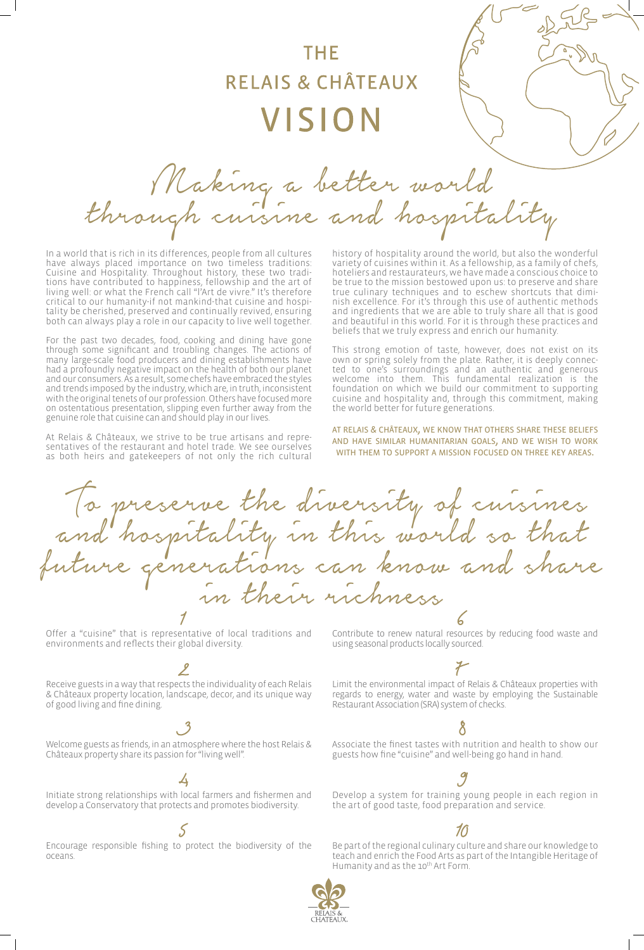# THE **RELAIS & CHÂTEAUX** VISION

Making a better world<br>through cuisine and hospitality

Contribute to renew natural resources by reducing food waste and using seasonal products locally sourced.

Limit the environmental impact of Relais & Châteaux properties with regards to energy, water and waste by employing the Sustainable Restaurant Association (SRA) system of checks.

Be part of the regional culinary culture and share our knowledge to teach and enrich the Food Arts as part of the Intangible Heritage of Humanity and as the 10<sup>th</sup> Art Form.



### Associate the finest tastes with nutrition and health to show our guests how fine "cuisine" and well-being go hand in hand.

Develop a system for training young people in each region in the art of good taste, food preparation and service.

# 10

In a world that is rich in its differences, people from all cultures have always placed importance on two timeless traditions: Cuisine and Hospitality. Throughout history, these two traditions have contributed to happiness, fellowship and the art of living well: or what the French call "l'Art de vivre." It's therefore critical to our humanity-if not mankind-that cuisine and hospitality be cherished, preserved and continually revived, ensuring both can always play a role in our capacity to live well together.

For the past two decades, food, cooking and dining have gone through some significant and troubling changes. The actions of many large-scale food producers and dining establishments have had a profoundly negative impact on the health of both our planet and our consumers. As a result, some chefs have embraced the styles and trends imposed by the industry, which are, in truth, inconsistent with the original tenets of our profession. Others have focused more on ostentatious presentation, slipping even further away from the genuine role that cuisine can and should play in our lives.

At Relais & Châteaux, we strive to be true artisans and representatives of the restaurant and hotel trade. We see ourselves as both heirs and gatekeepers of not only the rich cultural

Offer a "cuisine" that is representative of local traditions and environments and reflects their global diversity.

Receive guests in a way that respects the individuality of each Relais & Châteaux property location, landscape, decor, and its unique way of good living and fine dining.

Welcome guests as friends, in an atmosphere where the host Relais & Châteaux property share its passion for "living well".

Initiate strong relationships with local farmers and fishermen and develop a Conservatory that protects and promotes biodiversity.

스

### Encourage responsible fishing to protect the biodiversity of the oceans.

history of hospitality around the world, but also the wonderful variety of cuisines within it. As a fellowship, as a family of chefs, hoteliers and restaurateurs, we have made a conscious choice to be true to the mission bestowed upon us: to preserve and share true culinary techniques and to eschew shortcuts that diminish excellence. For it's through this use of authentic methods and ingredients that we are able to truly share all that is good and beautiful in this world. For it is through these practices and beliefs that we truly express and enrich our humanity.

This strong emotion of taste, however, does not exist on its own or spring solely from the plate. Rather, it is deeply connected to one's surroundings and an authentic and generous welcome into them. This fundamental realization is the foundation on which we build our commitment to supporting cuisine and hospitality and, through this commitment, making the world better for future generations.

at relais & châteaux, we know that others share these beliefs and have similar humanitarian goals, and we wish to work with them to support a mission focused on three key areas.

To preserve the diversity of cuisines and hospitality in this world so that future generations can know and share